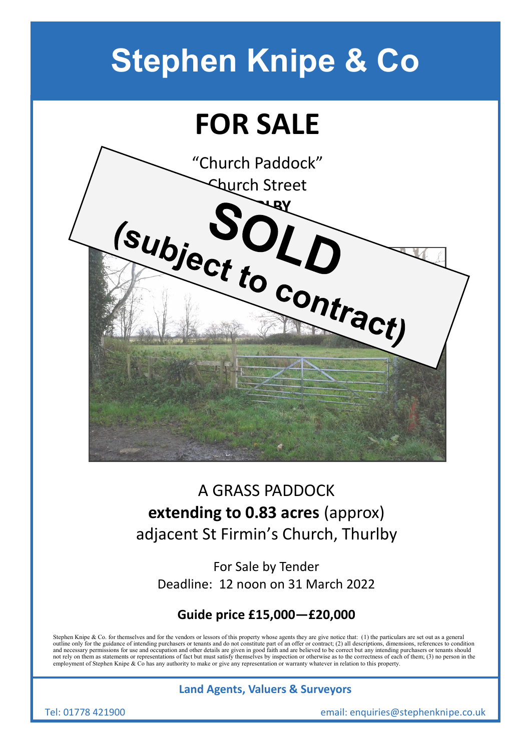# **Stephen Knipe & Co**

## **FOR SALE**



### A GRASS PADDOCK **extending to 0.83 acres** (approx) adjacent St Firmin's Church, Thurlby

For Sale by Tender Deadline: 12 noon on 31 March 2022

### **Guide price £15,000—£20,000**

Stephen Knipe & Co. for themselves and for the vendors or lessors of this property whose agents they are give notice that: (1) the particulars are set out as a general outline only for the guidance of intending purchasers or tenants and do not constitute part of an offer or contract; (2) all descriptions, dimensions, references to condition<br>and necessary permissions for use and occupatio not rely on them as statements or representations of fact but must satisfy themselves by inspection or otherwise as to the correctness of each of them; (3) no person in the employment of Stephen Knipe & Co has any authority to make or give any representation or warranty whatever in relation to this property.

#### **Land Agents, Valuers & Surveyors**

Tel: 01778 421900 email: enquiries@stephenknipe.co.uk